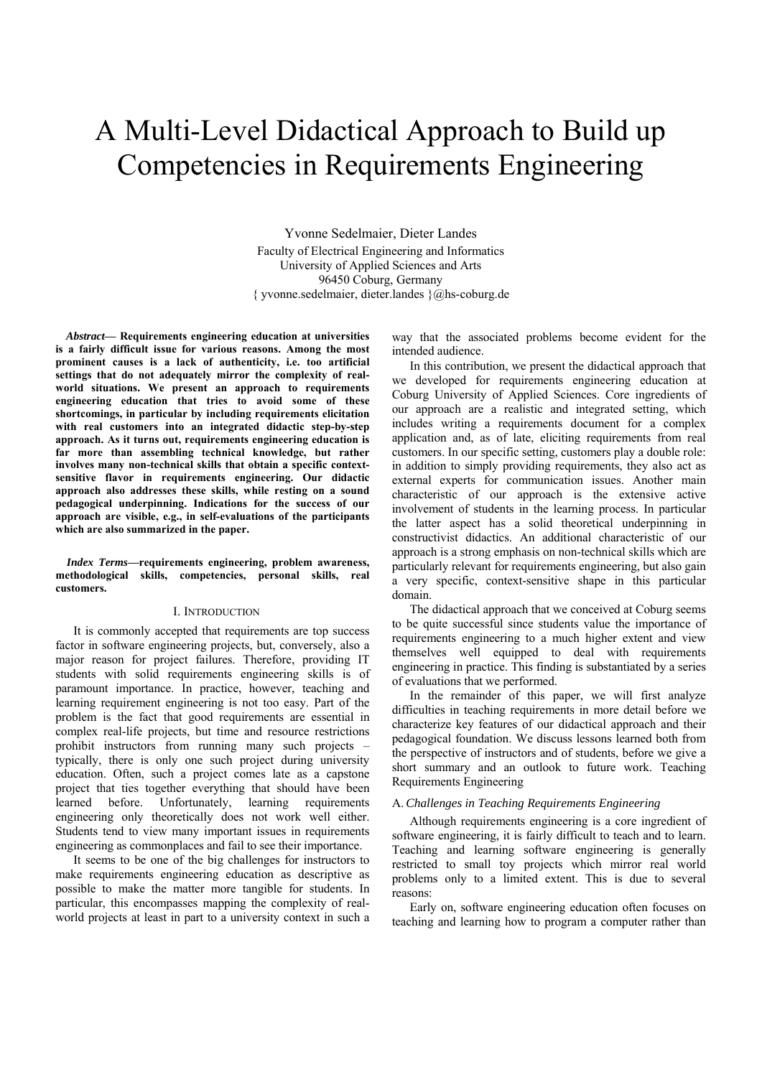# A Multi-Level Didactical Approach to Build up Competencies in Requirements Engineering

Yvonne Sedelmaier, Dieter Landes Faculty of Electrical Engineering and Informatics University of Applied Sciences and Arts 96450 Coburg, Germany { yvonne.sedelmaier, dieter.landes }@hs-coburg.de

*Abstract***— Requirements engineering education at universities is a fairly difficult issue for various reasons. Among the most prominent causes is a lack of authenticity, i.e. too artificial settings that do not adequately mirror the complexity of realworld situations. We present an approach to requirements engineering education that tries to avoid some of these shortcomings, in particular by including requirements elicitation with real customers into an integrated didactic step-by-step approach. As it turns out, requirements engineering education is far more than assembling technical knowledge, but rather involves many non-technical skills that obtain a specific contextsensitive flavor in requirements engineering. Our didactic approach also addresses these skills, while resting on a sound pedagogical underpinning. Indications for the success of our approach are visible, e.g., in self-evaluations of the participants which are also summarized in the paper.**

*Index Terms***—requirements engineering, problem awareness, methodological skills, competencies, personal skills, real customers.** 

## I. INTRODUCTION

It is commonly accepted that requirements are top success factor in software engineering projects, but, conversely, also a major reason for project failures. Therefore, providing IT students with solid requirements engineering skills is of paramount importance. In practice, however, teaching and learning requirement engineering is not too easy. Part of the problem is the fact that good requirements are essential in complex real-life projects, but time and resource restrictions prohibit instructors from running many such projects – typically, there is only one such project during university education. Often, such a project comes late as a capstone project that ties together everything that should have been learned before. Unfortunately, learning requirements engineering only theoretically does not work well either. Students tend to view many important issues in requirements engineering as commonplaces and fail to see their importance.

It seems to be one of the big challenges for instructors to make requirements engineering education as descriptive as possible to make the matter more tangible for students. In particular, this encompasses mapping the complexity of realworld projects at least in part to a university context in such a way that the associated problems become evident for the intended audience.

In this contribution, we present the didactical approach that we developed for requirements engineering education at Coburg University of Applied Sciences. Core ingredients of our approach are a realistic and integrated setting, which includes writing a requirements document for a complex application and, as of late, eliciting requirements from real customers. In our specific setting, customers play a double role: in addition to simply providing requirements, they also act as external experts for communication issues. Another main characteristic of our approach is the extensive active involvement of students in the learning process. In particular the latter aspect has a solid theoretical underpinning in constructivist didactics. An additional characteristic of our approach is a strong emphasis on non-technical skills which are particularly relevant for requirements engineering, but also gain a very specific, context-sensitive shape in this particular domain.

The didactical approach that we conceived at Coburg seems to be quite successful since students value the importance of requirements engineering to a much higher extent and view themselves well equipped to deal with requirements engineering in practice. This finding is substantiated by a series of evaluations that we performed.

In the remainder of this paper, we will first analyze difficulties in teaching requirements in more detail before we characterize key features of our didactical approach and their pedagogical foundation. We discuss lessons learned both from the perspective of instructors and of students, before we give a short summary and an outlook to future work. Teaching Requirements Engineering

## A.*Challenges in Teaching Requirements Engineering*

Although requirements engineering is a core ingredient of software engineering, it is fairly difficult to teach and to learn. Teaching and learning software engineering is generally restricted to small toy projects which mirror real world problems only to a limited extent. This is due to several reasons:

Early on, software engineering education often focuses on teaching and learning how to program a computer rather than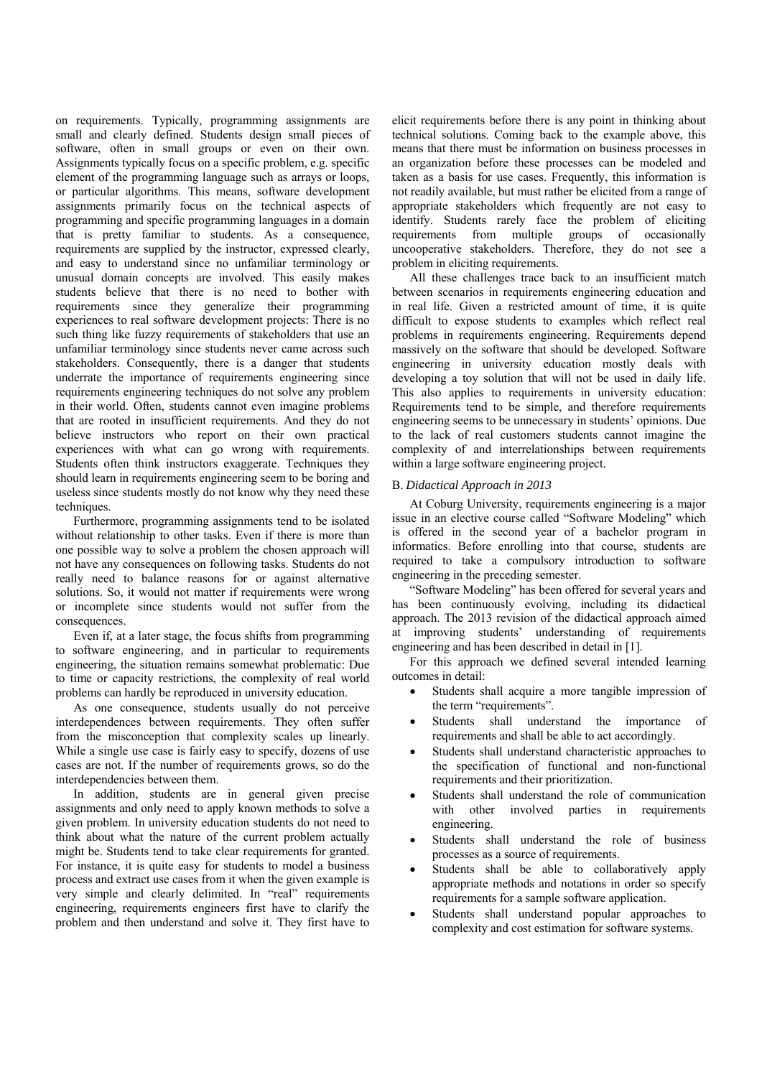on requirements. Typically, programming assignments are small and clearly defined. Students design small pieces of software, often in small groups or even on their own. Assignments typically focus on a specific problem, e.g. specific element of the programming language such as arrays or loops, or particular algorithms. This means, software development assignments primarily focus on the technical aspects of programming and specific programming languages in a domain that is pretty familiar to students. As a consequence, requirements are supplied by the instructor, expressed clearly, and easy to understand since no unfamiliar terminology or unusual domain concepts are involved. This easily makes students believe that there is no need to bother with requirements since they generalize their programming experiences to real software development projects: There is no such thing like fuzzy requirements of stakeholders that use an unfamiliar terminology since students never came across such stakeholders. Consequently, there is a danger that students underrate the importance of requirements engineering since requirements engineering techniques do not solve any problem in their world. Often, students cannot even imagine problems that are rooted in insufficient requirements. And they do not believe instructors who report on their own practical experiences with what can go wrong with requirements. Students often think instructors exaggerate. Techniques they should learn in requirements engineering seem to be boring and useless since students mostly do not know why they need these techniques.

Furthermore, programming assignments tend to be isolated without relationship to other tasks. Even if there is more than one possible way to solve a problem the chosen approach will not have any consequences on following tasks. Students do not really need to balance reasons for or against alternative solutions. So, it would not matter if requirements were wrong or incomplete since students would not suffer from the consequences.

Even if, at a later stage, the focus shifts from programming to software engineering, and in particular to requirements engineering, the situation remains somewhat problematic: Due to time or capacity restrictions, the complexity of real world problems can hardly be reproduced in university education.

As one consequence, students usually do not perceive interdependences between requirements. They often suffer from the misconception that complexity scales up linearly. While a single use case is fairly easy to specify, dozens of use cases are not. If the number of requirements grows, so do the interdependencies between them.

In addition, students are in general given precise assignments and only need to apply known methods to solve a given problem. In university education students do not need to think about what the nature of the current problem actually might be. Students tend to take clear requirements for granted. For instance, it is quite easy for students to model a business process and extract use cases from it when the given example is very simple and clearly delimited. In "real" requirements engineering, requirements engineers first have to clarify the problem and then understand and solve it. They first have to elicit requirements before there is any point in thinking about technical solutions. Coming back to the example above, this means that there must be information on business processes in an organization before these processes can be modeled and taken as a basis for use cases. Frequently, this information is not readily available, but must rather be elicited from a range of appropriate stakeholders which frequently are not easy to identify. Students rarely face the problem of eliciting requirements from multiple groups of occasionally uncooperative stakeholders. Therefore, they do not see a problem in eliciting requirements.

All these challenges trace back to an insufficient match between scenarios in requirements engineering education and in real life. Given a restricted amount of time, it is quite difficult to expose students to examples which reflect real problems in requirements engineering. Requirements depend massively on the software that should be developed. Software engineering in university education mostly deals with developing a toy solution that will not be used in daily life. This also applies to requirements in university education: Requirements tend to be simple, and therefore requirements engineering seems to be unnecessary in students' opinions. Due to the lack of real customers students cannot imagine the complexity of and interrelationships between requirements within a large software engineering project.

## B. *Didactical Approach in 2013*

At Coburg University, requirements engineering is a major issue in an elective course called "Software Modeling" which is offered in the second year of a bachelor program in informatics. Before enrolling into that course, students are required to take a compulsory introduction to software engineering in the preceding semester.

"Software Modeling" has been offered for several years and has been continuously evolving, including its didactical approach. The 2013 revision of the didactical approach aimed at improving students' understanding of requirements engineering and has been described in detail in [1].

For this approach we defined several intended learning outcomes in detail:

- Students shall acquire a more tangible impression of the term "requirements".
- Students shall understand the importance of requirements and shall be able to act accordingly.
- Students shall understand characteristic approaches to the specification of functional and non-functional requirements and their prioritization.
- Students shall understand the role of communication with other involved parties in requirements engineering.
- Students shall understand the role of business processes as a source of requirements.
- Students shall be able to collaboratively apply appropriate methods and notations in order so specify requirements for a sample software application.
- Students shall understand popular approaches to complexity and cost estimation for software systems.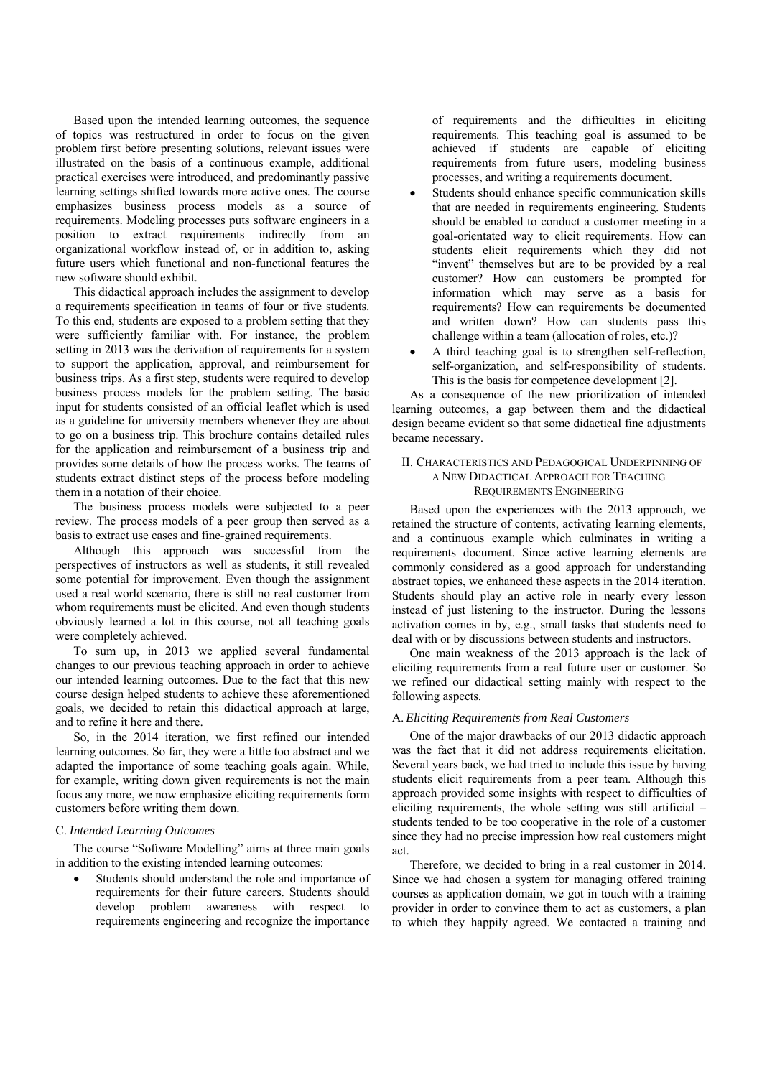Based upon the intended learning outcomes, the sequence of topics was restructured in order to focus on the given problem first before presenting solutions, relevant issues were illustrated on the basis of a continuous example, additional practical exercises were introduced, and predominantly passive learning settings shifted towards more active ones. The course emphasizes business process models as a source of requirements. Modeling processes puts software engineers in a position to extract requirements indirectly from an organizational workflow instead of, or in addition to, asking future users which functional and non-functional features the new software should exhibit.

This didactical approach includes the assignment to develop a requirements specification in teams of four or five students. To this end, students are exposed to a problem setting that they were sufficiently familiar with. For instance, the problem setting in 2013 was the derivation of requirements for a system to support the application, approval, and reimbursement for business trips. As a first step, students were required to develop business process models for the problem setting. The basic input for students consisted of an official leaflet which is used as a guideline for university members whenever they are about to go on a business trip. This brochure contains detailed rules for the application and reimbursement of a business trip and provides some details of how the process works. The teams of students extract distinct steps of the process before modeling them in a notation of their choice.

The business process models were subjected to a peer review. The process models of a peer group then served as a basis to extract use cases and fine-grained requirements.

Although this approach was successful from the perspectives of instructors as well as students, it still revealed some potential for improvement. Even though the assignment used a real world scenario, there is still no real customer from whom requirements must be elicited. And even though students obviously learned a lot in this course, not all teaching goals were completely achieved.

To sum up, in 2013 we applied several fundamental changes to our previous teaching approach in order to achieve our intended learning outcomes. Due to the fact that this new course design helped students to achieve these aforementioned goals, we decided to retain this didactical approach at large, and to refine it here and there.

So, in the 2014 iteration, we first refined our intended learning outcomes. So far, they were a little too abstract and we adapted the importance of some teaching goals again. While, for example, writing down given requirements is not the main focus any more, we now emphasize eliciting requirements form customers before writing them down.

## C. *Intended Learning Outcomes*

The course "Software Modelling" aims at three main goals in addition to the existing intended learning outcomes:

 Students should understand the role and importance of requirements for their future careers. Students should develop problem awareness with respect to requirements engineering and recognize the importance

of requirements and the difficulties in eliciting requirements. This teaching goal is assumed to be achieved if students are capable of eliciting requirements from future users, modeling business processes, and writing a requirements document.

- Students should enhance specific communication skills that are needed in requirements engineering. Students should be enabled to conduct a customer meeting in a goal-orientated way to elicit requirements. How can students elicit requirements which they did not "invent" themselves but are to be provided by a real customer? How can customers be prompted for information which may serve as a basis for requirements? How can requirements be documented and written down? How can students pass this challenge within a team (allocation of roles, etc.)?
- A third teaching goal is to strengthen self-reflection, self-organization, and self-responsibility of students. This is the basis for competence development [2].

As a consequence of the new prioritization of intended learning outcomes, a gap between them and the didactical design became evident so that some didactical fine adjustments became necessary.

# II. CHARACTERISTICS AND PEDAGOGICAL UNDERPINNING OF A NEW DIDACTICAL APPROACH FOR TEACHING REQUIREMENTS ENGINEERING

Based upon the experiences with the 2013 approach, we retained the structure of contents, activating learning elements, and a continuous example which culminates in writing a requirements document. Since active learning elements are commonly considered as a good approach for understanding abstract topics, we enhanced these aspects in the 2014 iteration. Students should play an active role in nearly every lesson instead of just listening to the instructor. During the lessons activation comes in by, e.g., small tasks that students need to deal with or by discussions between students and instructors.

One main weakness of the 2013 approach is the lack of eliciting requirements from a real future user or customer. So we refined our didactical setting mainly with respect to the following aspects.

## A. *Eliciting Requirements from Real Customers*

One of the major drawbacks of our 2013 didactic approach was the fact that it did not address requirements elicitation. Several years back, we had tried to include this issue by having students elicit requirements from a peer team. Although this approach provided some insights with respect to difficulties of eliciting requirements, the whole setting was still artificial – students tended to be too cooperative in the role of a customer since they had no precise impression how real customers might act.

Therefore, we decided to bring in a real customer in 2014. Since we had chosen a system for managing offered training courses as application domain, we got in touch with a training provider in order to convince them to act as customers, a plan to which they happily agreed. We contacted a training and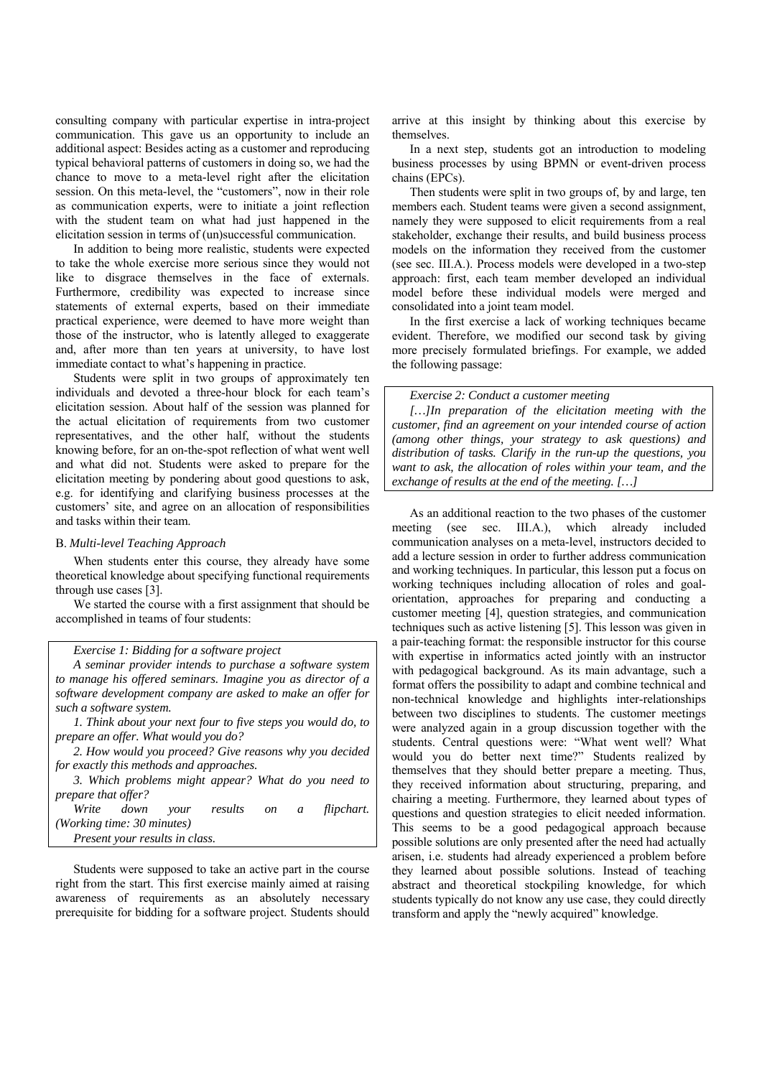consulting company with particular expertise in intra-project communication. This gave us an opportunity to include an additional aspect: Besides acting as a customer and reproducing typical behavioral patterns of customers in doing so, we had the chance to move to a meta-level right after the elicitation session. On this meta-level, the "customers", now in their role as communication experts, were to initiate a joint reflection with the student team on what had just happened in the elicitation session in terms of (un)successful communication.

In addition to being more realistic, students were expected to take the whole exercise more serious since they would not like to disgrace themselves in the face of externals. Furthermore, credibility was expected to increase since statements of external experts, based on their immediate practical experience, were deemed to have more weight than those of the instructor, who is latently alleged to exaggerate and, after more than ten years at university, to have lost immediate contact to what's happening in practice.

Students were split in two groups of approximately ten individuals and devoted a three-hour block for each team's elicitation session. About half of the session was planned for the actual elicitation of requirements from two customer representatives, and the other half, without the students knowing before, for an on-the-spot reflection of what went well and what did not. Students were asked to prepare for the elicitation meeting by pondering about good questions to ask, e.g. for identifying and clarifying business processes at the customers' site, and agree on an allocation of responsibilities and tasks within their team.

#### B. *Multi-level Teaching Approach*

When students enter this course, they already have some theoretical knowledge about specifying functional requirements through use cases [3].

We started the course with a first assignment that should be accomplished in teams of four students:

# *Exercise 1: Bidding for a software project*

*A seminar provider intends to purchase a software system to manage his offered seminars. Imagine you as director of a software development company are asked to make an offer for such a software system.* 

*1. Think about your next four to five steps you would do, to prepare an offer. What would you do?* 

*2. How would you proceed? Give reasons why you decided for exactly this methods and approaches.* 

*3. Which problems might appear? What do you need to prepare that offer?* 

*Write down your results on a flipchart. (Working time: 30 minutes) Present your results in class.* 

Students were supposed to take an active part in the course right from the start. This first exercise mainly aimed at raising awareness of requirements as an absolutely necessary prerequisite for bidding for a software project. Students should arrive at this insight by thinking about this exercise by themselves.

In a next step, students got an introduction to modeling business processes by using BPMN or event-driven process chains (EPCs).

Then students were split in two groups of, by and large, ten members each. Student teams were given a second assignment, namely they were supposed to elicit requirements from a real stakeholder, exchange their results, and build business process models on the information they received from the customer (see sec. III.A.). Process models were developed in a two-step approach: first, each team member developed an individual model before these individual models were merged and consolidated into a joint team model.

In the first exercise a lack of working techniques became evident. Therefore, we modified our second task by giving more precisely formulated briefings. For example, we added the following passage:

#### *Exercise 2: Conduct a customer meeting*

*[…]In preparation of the elicitation meeting with the customer, find an agreement on your intended course of action (among other things, your strategy to ask questions) and distribution of tasks. Clarify in the run-up the questions, you want to ask, the allocation of roles within your team, and the exchange of results at the end of the meeting. […]* 

As an additional reaction to the two phases of the customer meeting (see sec. III.A.), which already included communication analyses on a meta-level, instructors decided to add a lecture session in order to further address communication and working techniques. In particular, this lesson put a focus on working techniques including allocation of roles and goalorientation, approaches for preparing and conducting a customer meeting [4], question strategies, and communication techniques such as active listening [5]. This lesson was given in a pair-teaching format: the responsible instructor for this course with expertise in informatics acted jointly with an instructor with pedagogical background. As its main advantage, such a format offers the possibility to adapt and combine technical and non-technical knowledge and highlights inter-relationships between two disciplines to students. The customer meetings were analyzed again in a group discussion together with the students. Central questions were: "What went well? What would you do better next time?" Students realized by themselves that they should better prepare a meeting. Thus, they received information about structuring, preparing, and chairing a meeting. Furthermore, they learned about types of questions and question strategies to elicit needed information. This seems to be a good pedagogical approach because possible solutions are only presented after the need had actually arisen, i.e. students had already experienced a problem before they learned about possible solutions. Instead of teaching abstract and theoretical stockpiling knowledge, for which students typically do not know any use case, they could directly transform and apply the "newly acquired" knowledge.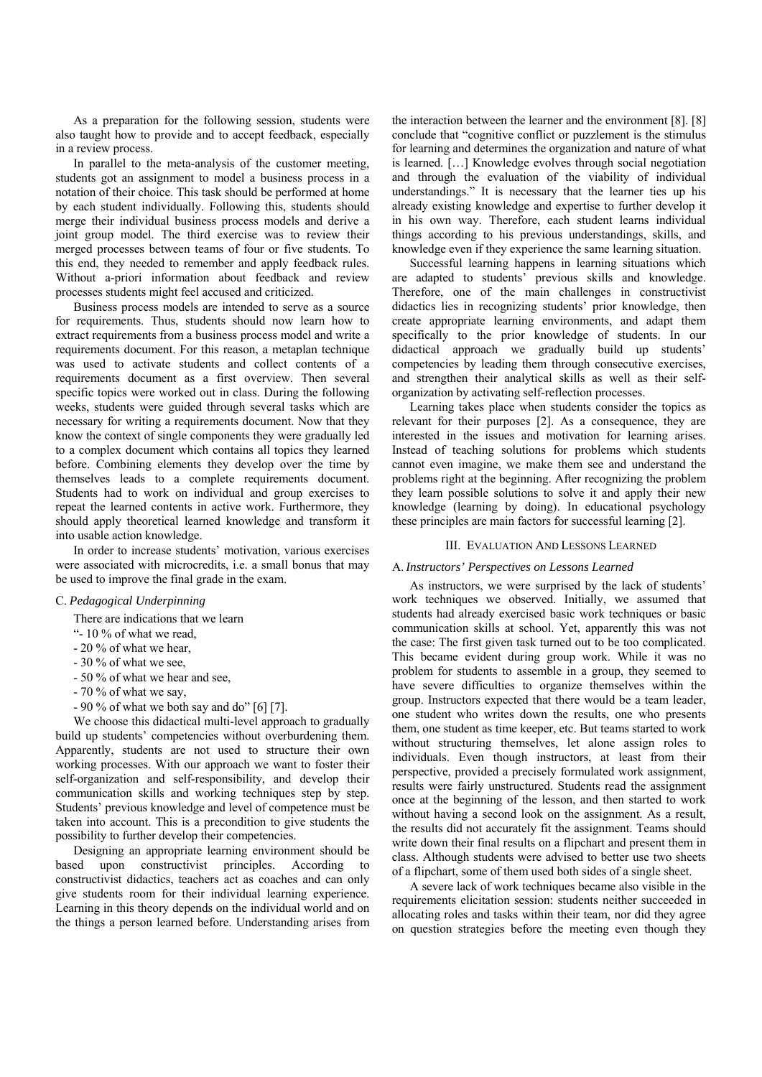As a preparation for the following session, students were also taught how to provide and to accept feedback, especially in a review process.

In parallel to the meta-analysis of the customer meeting, students got an assignment to model a business process in a notation of their choice. This task should be performed at home by each student individually. Following this, students should merge their individual business process models and derive a joint group model. The third exercise was to review their merged processes between teams of four or five students. To this end, they needed to remember and apply feedback rules. Without a-priori information about feedback and review processes students might feel accused and criticized.

Business process models are intended to serve as a source for requirements. Thus, students should now learn how to extract requirements from a business process model and write a requirements document. For this reason, a metaplan technique was used to activate students and collect contents of a requirements document as a first overview. Then several specific topics were worked out in class. During the following weeks, students were guided through several tasks which are necessary for writing a requirements document. Now that they know the context of single components they were gradually led to a complex document which contains all topics they learned before. Combining elements they develop over the time by themselves leads to a complete requirements document. Students had to work on individual and group exercises to repeat the learned contents in active work. Furthermore, they should apply theoretical learned knowledge and transform it into usable action knowledge.

In order to increase students' motivation, various exercises were associated with microcredits, i.e. a small bonus that may be used to improve the final grade in the exam.

#### C. *Pedagogical Underpinning*

There are indications that we learn

- "- 10 % of what we read,
- 20 % of what we hear,
- 30 % of what we see,
- 50 % of what we hear and see,
- 70 % of what we say,
- $-90\%$  of what we both say and do" [6] [7].

We choose this didactical multi-level approach to gradually build up students' competencies without overburdening them. Apparently, students are not used to structure their own working processes. With our approach we want to foster their self-organization and self-responsibility, and develop their communication skills and working techniques step by step. Students' previous knowledge and level of competence must be taken into account. This is a precondition to give students the possibility to further develop their competencies.

Designing an appropriate learning environment should be based upon constructivist principles. According to constructivist didactics, teachers act as coaches and can only give students room for their individual learning experience. Learning in this theory depends on the individual world and on the things a person learned before. Understanding arises from

the interaction between the learner and the environment [8]. [8] conclude that "cognitive conflict or puzzlement is the stimulus for learning and determines the organization and nature of what is learned. […] Knowledge evolves through social negotiation and through the evaluation of the viability of individual understandings." It is necessary that the learner ties up his already existing knowledge and expertise to further develop it in his own way. Therefore, each student learns individual things according to his previous understandings, skills, and knowledge even if they experience the same learning situation.

Successful learning happens in learning situations which are adapted to students' previous skills and knowledge. Therefore, one of the main challenges in constructivist didactics lies in recognizing students' prior knowledge, then create appropriate learning environments, and adapt them specifically to the prior knowledge of students. In our didactical approach we gradually build up students' competencies by leading them through consecutive exercises, and strengthen their analytical skills as well as their selforganization by activating self-reflection processes.

Learning takes place when students consider the topics as relevant for their purposes [2]. As a consequence, they are interested in the issues and motivation for learning arises. Instead of teaching solutions for problems which students cannot even imagine, we make them see and understand the problems right at the beginning. After recognizing the problem they learn possible solutions to solve it and apply their new knowledge (learning by doing). In educational psychology these principles are main factors for successful learning [2].

#### III. EVALUATION AND LESSONS LEARNED

## A.*Instructors' Perspectives on Lessons Learned*

As instructors, we were surprised by the lack of students' work techniques we observed. Initially, we assumed that students had already exercised basic work techniques or basic communication skills at school. Yet, apparently this was not the case: The first given task turned out to be too complicated. This became evident during group work. While it was no problem for students to assemble in a group, they seemed to have severe difficulties to organize themselves within the group. Instructors expected that there would be a team leader, one student who writes down the results, one who presents them, one student as time keeper, etc. But teams started to work without structuring themselves, let alone assign roles to individuals. Even though instructors, at least from their perspective, provided a precisely formulated work assignment, results were fairly unstructured. Students read the assignment once at the beginning of the lesson, and then started to work without having a second look on the assignment. As a result, the results did not accurately fit the assignment. Teams should write down their final results on a flipchart and present them in class. Although students were advised to better use two sheets of a flipchart, some of them used both sides of a single sheet.

A severe lack of work techniques became also visible in the requirements elicitation session: students neither succeeded in allocating roles and tasks within their team, nor did they agree on question strategies before the meeting even though they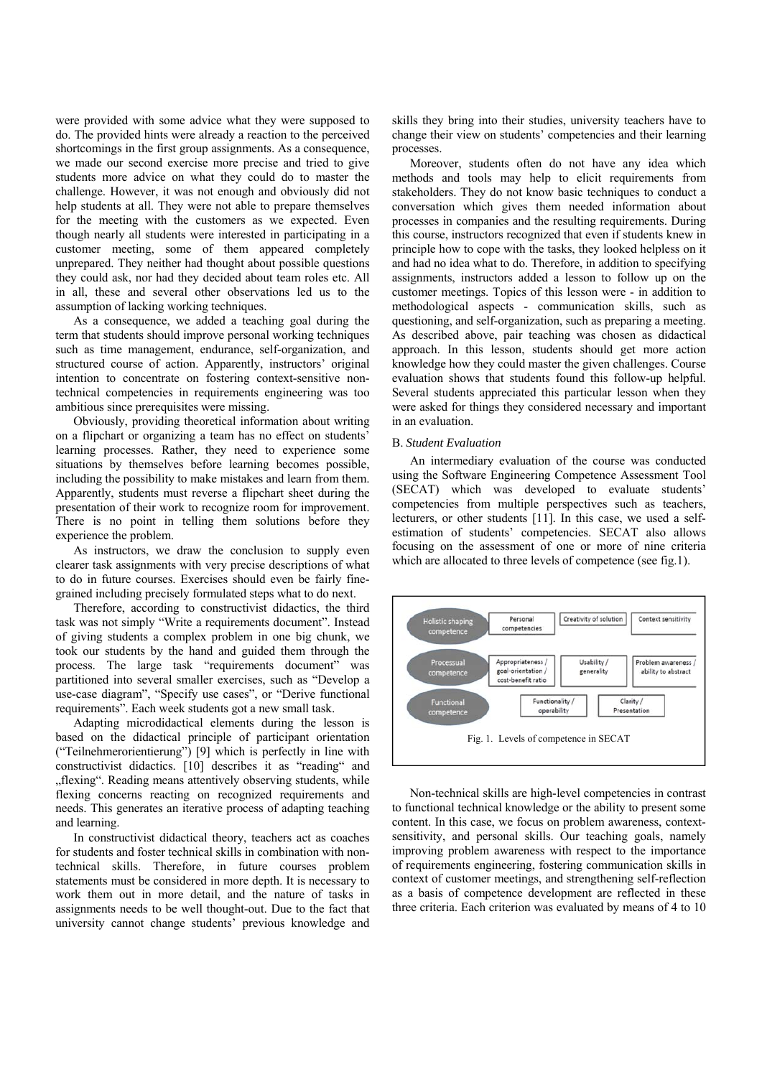were provided with some advice what they were supposed to do. The provided hints were already a reaction to the perceived shortcomings in the first group assignments. As a consequence, we made our second exercise more precise and tried to give students more advice on what they could do to master the challenge. However, it was not enough and obviously did not help students at all. They were not able to prepare themselves for the meeting with the customers as we expected. Even though nearly all students were interested in participating in a customer meeting, some of them appeared completely unprepared. They neither had thought about possible questions they could ask, nor had they decided about team roles etc. All in all, these and several other observations led us to the assumption of lacking working techniques.

As a consequence, we added a teaching goal during the term that students should improve personal working techniques such as time management, endurance, self-organization, and structured course of action. Apparently, instructors' original intention to concentrate on fostering context-sensitive nontechnical competencies in requirements engineering was too ambitious since prerequisites were missing.

Obviously, providing theoretical information about writing on a flipchart or organizing a team has no effect on students' learning processes. Rather, they need to experience some situations by themselves before learning becomes possible, including the possibility to make mistakes and learn from them. Apparently, students must reverse a flipchart sheet during the presentation of their work to recognize room for improvement. There is no point in telling them solutions before they experience the problem.

As instructors, we draw the conclusion to supply even clearer task assignments with very precise descriptions of what to do in future courses. Exercises should even be fairly finegrained including precisely formulated steps what to do next.

Therefore, according to constructivist didactics, the third task was not simply "Write a requirements document". Instead of giving students a complex problem in one big chunk, we took our students by the hand and guided them through the process. The large task "requirements document" was partitioned into several smaller exercises, such as "Develop a use-case diagram", "Specify use cases", or "Derive functional requirements". Each week students got a new small task.

Adapting microdidactical elements during the lesson is based on the didactical principle of participant orientation ("Teilnehmerorientierung") [9] which is perfectly in line with constructivist didactics. [10] describes it as "reading" and "flexing". Reading means attentively observing students, while flexing concerns reacting on recognized requirements and needs. This generates an iterative process of adapting teaching and learning.

In constructivist didactical theory, teachers act as coaches for students and foster technical skills in combination with nontechnical skills. Therefore, in future courses problem statements must be considered in more depth. It is necessary to work them out in more detail, and the nature of tasks in assignments needs to be well thought-out. Due to the fact that university cannot change students' previous knowledge and

skills they bring into their studies, university teachers have to change their view on students' competencies and their learning processes.

Moreover, students often do not have any idea which methods and tools may help to elicit requirements from stakeholders. They do not know basic techniques to conduct a conversation which gives them needed information about processes in companies and the resulting requirements. During this course, instructors recognized that even if students knew in principle how to cope with the tasks, they looked helpless on it and had no idea what to do. Therefore, in addition to specifying assignments, instructors added a lesson to follow up on the customer meetings. Topics of this lesson were - in addition to methodological aspects - communication skills, such as questioning, and self-organization, such as preparing a meeting. As described above, pair teaching was chosen as didactical approach. In this lesson, students should get more action knowledge how they could master the given challenges. Course evaluation shows that students found this follow-up helpful. Several students appreciated this particular lesson when they were asked for things they considered necessary and important in an evaluation.

## B. *Student Evaluation*

An intermediary evaluation of the course was conducted using the Software Engineering Competence Assessment Tool (SECAT) which was developed to evaluate students' competencies from multiple perspectives such as teachers, lecturers, or other students [11]. In this case, we used a selfestimation of students' competencies. SECAT also allows focusing on the assessment of one or more of nine criteria which are allocated to three levels of competence (see fig.1).



Non-technical skills are high-level competencies in contrast to functional technical knowledge or the ability to present some content. In this case, we focus on problem awareness, contextsensitivity, and personal skills. Our teaching goals, namely improving problem awareness with respect to the importance of requirements engineering, fostering communication skills in context of customer meetings, and strengthening self-reflection as a basis of competence development are reflected in these three criteria. Each criterion was evaluated by means of 4 to 10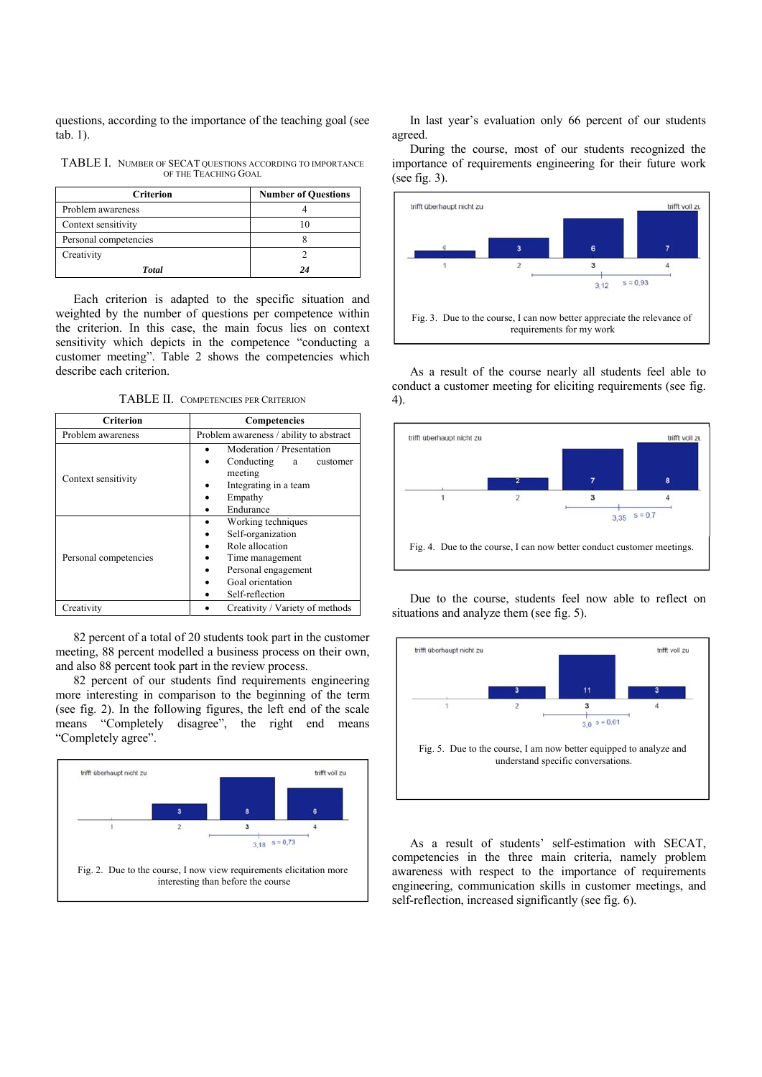questions, according to the importance of the teaching goal (see tab. 1).

TABLE I. NUMBER OF SECAT QUESTIONS ACCORDING TO IMPORTANCE OF THE TEACHING GOAL

| <b>Criterion</b>      | <b>Number of Questions</b> |
|-----------------------|----------------------------|
| Problem awareness     |                            |
| Context sensitivity   |                            |
| Personal competencies |                            |
| Creativity            |                            |
| <b>Total</b>          | 24                         |

Each criterion is adapted to the specific situation and weighted by the number of questions per competence within the criterion. In this case, the main focus lies on context sensitivity which depicts in the competence "conducting a customer meeting". Table 2 shows the competencies which describe each criterion.

TABLE II. COMPETENCIES PER CRITERION

| Criterion             | Competencies                                                                                                                                |
|-----------------------|---------------------------------------------------------------------------------------------------------------------------------------------|
| Problem awareness     | Problem awareness / ability to abstract                                                                                                     |
| Context sensitivity   | Moderation / Presentation<br>Conducting a<br>customer<br>meeting<br>Integrating in a team<br>Empathy<br>Endurance                           |
| Personal competencies | Working techniques<br>Self-organization<br>Role allocation<br>Time management<br>Personal engagement<br>Goal orientation<br>Self-reflection |
| Creativity            | Creativity / Variety of methods                                                                                                             |

82 percent of a total of 20 students took part in the customer meeting, 88 percent modelled a business process on their own, and also 88 percent took part in the review process.

82 percent of our students find requirements engineering more interesting in comparison to the beginning of the term (see fig. 2). In the following figures, the left end of the scale means "Completely disagree", the right end means "Completely agree".



In last year's evaluation only 66 percent of our students agreed.

During the course, most of our students recognized the importance of requirements engineering for their future work (see fig. 3).



As a result of the course nearly all students feel able to conduct a customer meeting for eliciting requirements (see fig. 4).



Due to the course, students feel now able to reflect on situations and analyze them (see fig. 5).



As a result of students' self-estimation with SECAT, competencies in the three main criteria, namely problem awareness with respect to the importance of requirements engineering, communication skills in customer meetings, and self-reflection, increased significantly (see fig. 6).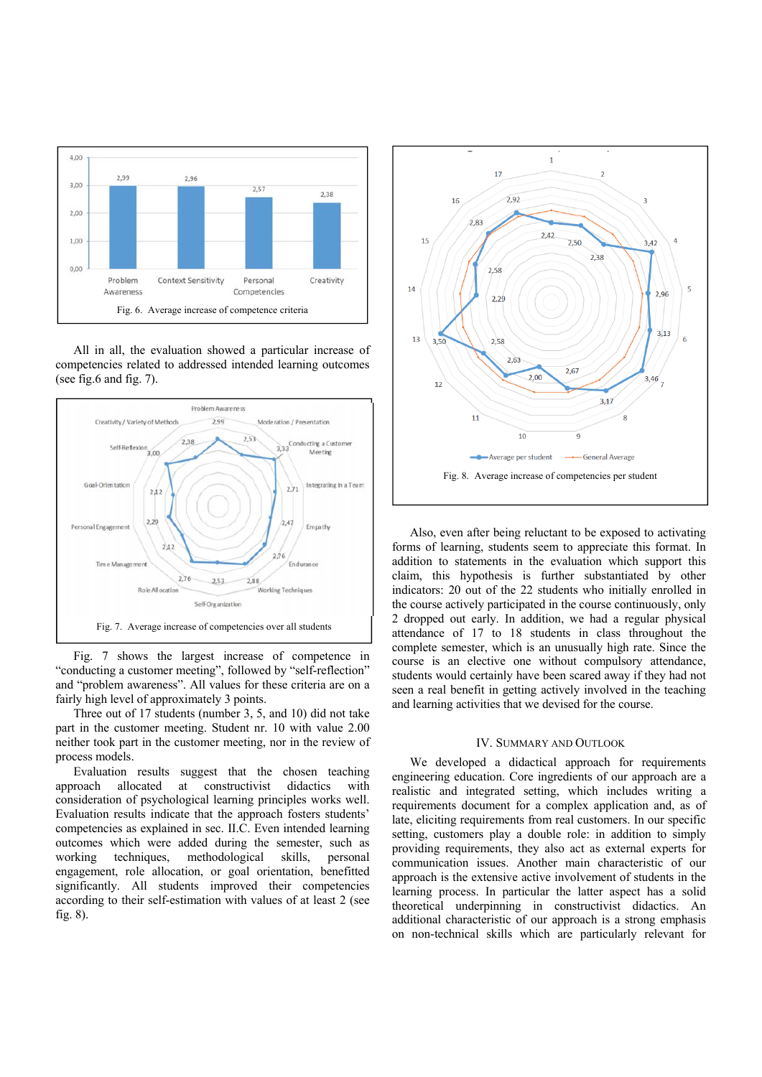

All in all, the evaluation showed a particular increase of competencies related to addressed intended learning outcomes (see fig.6 and fig. 7).



Fig. 7 shows the largest increase of competence in "conducting a customer meeting", followed by "self-reflection" and "problem awareness". All values for these criteria are on a fairly high level of approximately 3 points.

Three out of 17 students (number 3, 5, and 10) did not take part in the customer meeting. Student nr. 10 with value 2.00 neither took part in the customer meeting, nor in the review of process models.

Evaluation results suggest that the chosen teaching approach allocated at constructivist didactics with consideration of psychological learning principles works well. Evaluation results indicate that the approach fosters students' competencies as explained in sec. II.C. Even intended learning outcomes which were added during the semester, such as working techniques, methodological skills, personal engagement, role allocation, or goal orientation, benefitted significantly. All students improved their competencies according to their self-estimation with values of at least 2 (see fig. 8).



Also, even after being reluctant to be exposed to activating forms of learning, students seem to appreciate this format. In addition to statements in the evaluation which support this claim, this hypothesis is further substantiated by other indicators: 20 out of the 22 students who initially enrolled in the course actively participated in the course continuously, only 2 dropped out early. In addition, we had a regular physical attendance of 17 to 18 students in class throughout the complete semester, which is an unusually high rate. Since the course is an elective one without compulsory attendance, students would certainly have been scared away if they had not seen a real benefit in getting actively involved in the teaching and learning activities that we devised for the course.

## IV. SUMMARY AND OUTLOOK

We developed a didactical approach for requirements engineering education. Core ingredients of our approach are a realistic and integrated setting, which includes writing a requirements document for a complex application and, as of late, eliciting requirements from real customers. In our specific setting, customers play a double role: in addition to simply providing requirements, they also act as external experts for communication issues. Another main characteristic of our approach is the extensive active involvement of students in the learning process. In particular the latter aspect has a solid theoretical underpinning in constructivist didactics. An additional characteristic of our approach is a strong emphasis on non-technical skills which are particularly relevant for